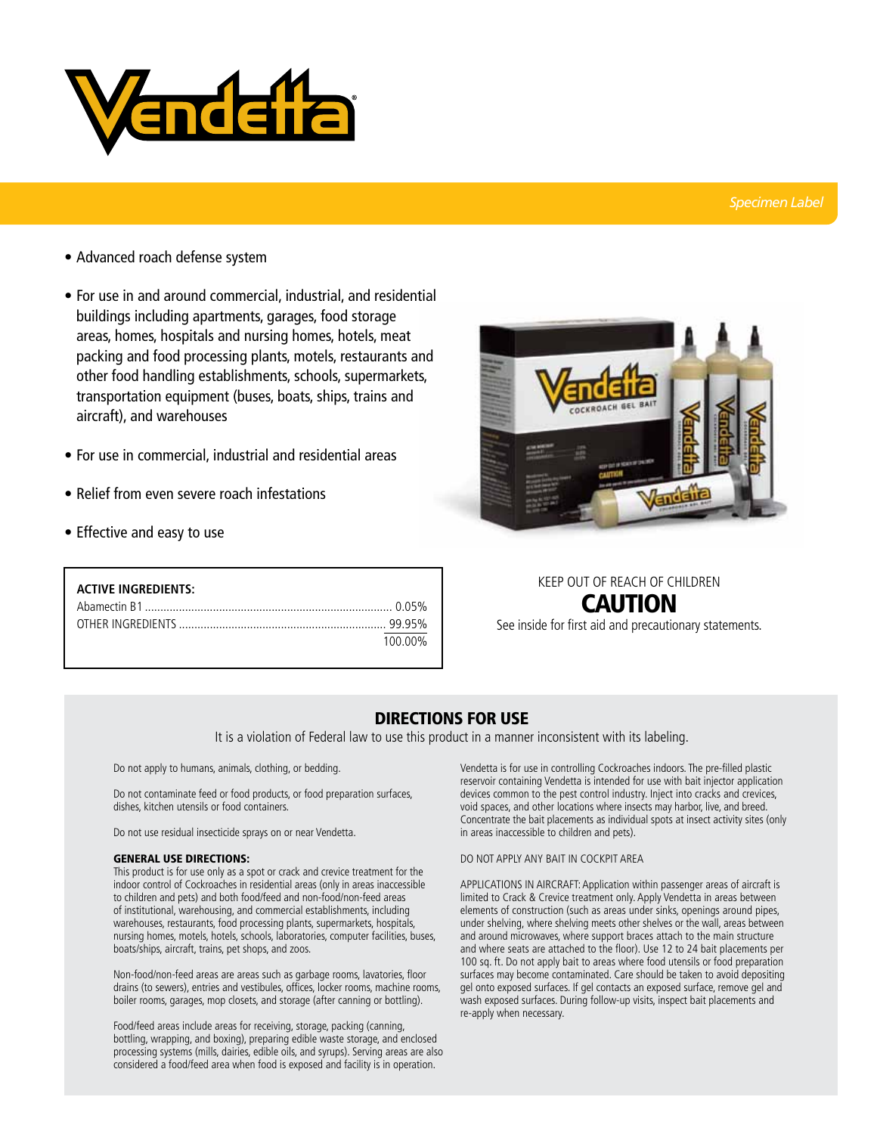

## *Specimen Label*

- Advanced roach defense system
- For use in and around commercial, industrial, and residential buildings including apartments, garages, food storage areas, homes, hospitals and nursing homes, hotels, meat packing and food processing plants, motels, restaurants and other food handling establishments, schools, supermarkets, transportation equipment (buses, boats, ships, trains and aircraft), and warehouses
- For use in commercial, industrial and residential areas
- Relief from even severe roach infestations
- Effective and easy to use

| <b>ACTIVE INGREDIENTS:</b> |         |
|----------------------------|---------|
|                            |         |
|                            |         |
|                            | 100 00% |



# KEEP OUT OF REACH OF CHILDREN CAUTION

See inside for first aid and precautionary statements.

## DIRECTIONS FOR USE

It is a violation of Federal law to use this product in a manner inconsistent with its labeling.

Do not apply to humans, animals, clothing, or bedding.

Do not contaminate feed or food products, or food preparation surfaces, dishes, kitchen utensils or food containers.

Do not use residual insecticide sprays on or near Vendetta.

#### general use directions:

This product is for use only as a spot or crack and crevice treatment for the indoor control of Cockroaches in residential areas (only in areas inaccessible to children and pets) and both food/feed and non-food/non-feed areas of institutional, warehousing, and commercial establishments, including warehouses, restaurants, food processing plants, supermarkets, hospitals, nursing homes, motels, hotels, schools, laboratories, computer facilities, buses, boats/ships, aircraft, trains, pet shops, and zoos.

Non-food/non-feed areas are areas such as garbage rooms, lavatories, floor drains (to sewers), entries and vestibules, offices, locker rooms, machine rooms, boiler rooms, garages, mop closets, and storage (after canning or bottling).

Food/feed areas include areas for receiving, storage, packing (canning, bottling, wrapping, and boxing), preparing edible waste storage, and enclosed processing systems (mills, dairies, edible oils, and syrups). Serving areas are also considered a food/feed area when food is exposed and facility is in operation.

Vendetta is for use in controlling Cockroaches indoors. The pre-filled plastic reservoir containing Vendetta is intended for use with bait injector application devices common to the pest control industry. Inject into cracks and crevices, void spaces, and other locations where insects may harbor, live, and breed. Concentrate the bait placements as individual spots at insect activity sites (only in areas inaccessible to children and pets).

## DO NOT APPLY ANY BAIT IN COCKPIT AREA

APPLICATIONS IN AIRCRAFT: Application within passenger areas of aircraft is limited to Crack & Crevice treatment only. Apply Vendetta in areas between elements of construction (such as areas under sinks, openings around pipes, under shelving, where shelving meets other shelves or the wall, areas between and around microwaves, where support braces attach to the main structure and where seats are attached to the floor). Use 12 to 24 bait placements per 100 sq. ft. Do not apply bait to areas where food utensils or food preparation surfaces may become contaminated. Care should be taken to avoid depositing gel onto exposed surfaces. If gel contacts an exposed surface, remove gel and wash exposed surfaces. During follow-up visits, inspect bait placements and re-apply when necessary.